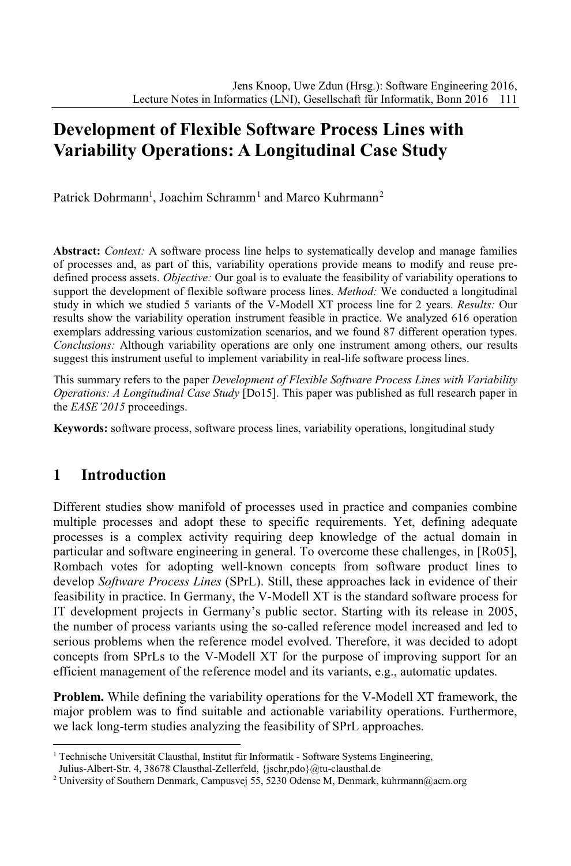# **Development of Flexible Software Process Lines with Variability Operations: A Longitudinal Case Study**

Patrick Dohrmann<sup>1</sup>, Joachim Schramm<sup>1</sup> and Marco Kuhrmann<sup>2</sup>

**Abstract:** *Context:* A software process line helps to systematically develop and manage families of processes and, as part of this, variability operations provide means to modify and reuse predefined process assets. *Objective:* Our goal is to evaluate the feasibility of variability operations to support the development of flexible software process lines. *Method:* We conducted a longitudinal study in which we studied 5 variants of the V-Modell XT process line for 2 years. *Results:* Our results show the variability operation instrument feasible in practice. We analyzed 616 operation exemplars addressing various customization scenarios, and we found 87 different operation types. *Conclusions:* Although variability operations are only one instrument among others, our results suggest this instrument useful to implement variability in real-life software process lines.

This summary refers to the paper *Development of Flexible Software Process Lines with Variability Operations: A Longitudinal Case Study* [Do15]. This paper was published as full research paper in the *EASE'2015* proceedings.

**Keywords:** software process, software process lines, variability operations, longitudinal study

# **1 Introduction**

Different studies show manifold of processes used in practice and companies combine multiple processes and adopt these to specific requirements. Yet, defining adequate processes is a complex activity requiring deep knowledge of the actual domain in particular and software engineering in general. To overcome these challenges, in [Ro05], Rombach votes for adopting well-known concepts from software product lines to develop *Software Process Lines* (SPrL). Still, these approaches lack in evidence of their feasibility in practice. In Germany, the V-Modell XT is the standard software process for IT development projects in Germany's public sector. Starting with its release in 2005, the number of process variants using the so-called reference model increased and led to serious problems when the reference model evolved. Therefore, it was decided to adopt concepts from SPrLs to the V-Modell XT for the purpose of improving support for an efficient management of the reference model and its variants, e.g., automatic updates.

**Problem.** While defining the variability operations for the V-Modell XT framework, the major problem was to find suitable and actionable variability operations. Furthermore, we lack long-term studies analyzing the feasibility of SPrL approaches.

<sup>&</sup>lt;sup>1</sup> Technische Universität Clausthal, Institut für Informatik - Software Systems Engineering, Julius-Albert-Str. 4, 38678 Clausthal-Zellerfeld, {jschr,pdo}@tu-clausthal.de

<sup>&</sup>lt;sup>2</sup> University of Southern Denmark, Campusvej 55, 5230 Odense M, Denmark, kuhrmann@acm.org